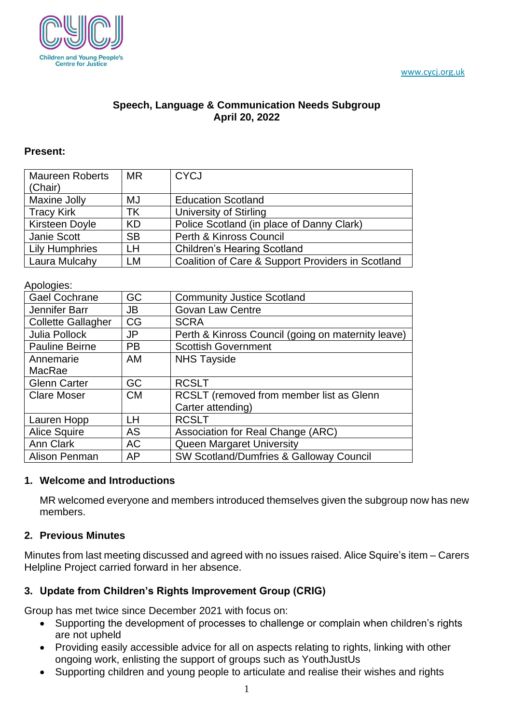



### **Speech, Language & Communication Needs Subgroup April 20, 2022**

#### **Present:**

| <b>Maureen Roberts</b><br>(Chair) | <b>MR</b> | <b>CYCJ</b>                                       |
|-----------------------------------|-----------|---------------------------------------------------|
| <b>Maxine Jolly</b>               | MJ        | <b>Education Scotland</b>                         |
| <b>Tracy Kirk</b>                 | ТK        | University of Stirling                            |
| <b>Kirsteen Doyle</b>             | <b>KD</b> | Police Scotland (in place of Danny Clark)         |
| Janie Scott                       | <b>SB</b> | Perth & Kinross Council                           |
| <b>Lily Humphries</b>             | <b>LH</b> | <b>Children's Hearing Scotland</b>                |
| Laura Mulcahy                     | <b>LM</b> | Coalition of Care & Support Providers in Scotland |

#### Apologies:

| <b>Gael Cochrane</b>      | GC        | <b>Community Justice Scotland</b>                  |
|---------------------------|-----------|----------------------------------------------------|
| Jennifer Barr             | JB        | <b>Govan Law Centre</b>                            |
| <b>Collette Gallagher</b> | CG        | <b>SCRA</b>                                        |
| Julia Pollock             | <b>JP</b> | Perth & Kinross Council (going on maternity leave) |
| <b>Pauline Beirne</b>     | <b>PB</b> | <b>Scottish Government</b>                         |
| Annemarie                 | AM        | <b>NHS Tayside</b>                                 |
| MacRae                    |           |                                                    |
| <b>Glenn Carter</b>       | GC        | <b>RCSLT</b>                                       |
| <b>Clare Moser</b>        | <b>CM</b> | RCSLT (removed from member list as Glenn           |
|                           |           | Carter attending)                                  |
| Lauren Hopp               | LH        | <b>RCSLT</b>                                       |
| <b>Alice Squire</b>       | <b>AS</b> | Association for Real Change (ARC)                  |
| Ann Clark                 | <b>AC</b> | Queen Margaret University                          |
| Alison Penman             | AP        | <b>SW Scotland/Dumfries &amp; Galloway Council</b> |

#### **1. Welcome and Introductions**

MR welcomed everyone and members introduced themselves given the subgroup now has new members.

#### **2. Previous Minutes**

Minutes from last meeting discussed and agreed with no issues raised. Alice Squire's item – Carers Helpline Project carried forward in her absence.

## **3. Update from Children's Rights Improvement Group (CRIG)**

Group has met twice since December 2021 with focus on:

- Supporting the development of processes to challenge or complain when children's rights are not upheld
- Providing easily accessible advice for all on aspects relating to rights, linking with other ongoing work, enlisting the support of groups such as YouthJustUs
- Supporting children and young people to articulate and realise their wishes and rights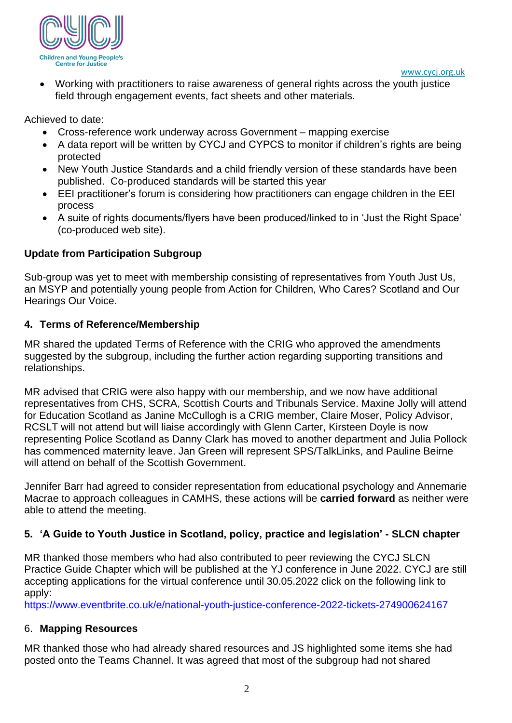

• Working with practitioners to raise awareness of general rights across the youth justice field through engagement events, fact sheets and other materials.

Achieved to date:

- Cross-reference work underway across Government mapping exercise
- A data report will be written by CYCJ and CYPCS to monitor if children's rights are being protected
- New Youth Justice Standards and a child friendly version of these standards have been published. Co-produced standards will be started this year
- EEI practitioner's forum is considering how practitioners can engage children in the EEI process
- A suite of rights documents/flyers have been produced/linked to in 'Just the Right Space' (co-produced web site).

# **Update from Participation Subgroup**

Sub-group was yet to meet with membership consisting of representatives from Youth Just Us, an MSYP and potentially young people from Action for Children, Who Cares? Scotland and Our Hearings Our Voice.

## **4. Terms of Reference/Membership**

MR shared the updated Terms of Reference with the CRIG who approved the amendments suggested by the subgroup, including the further action regarding supporting transitions and relationships.

MR advised that CRIG were also happy with our membership, and we now have additional representatives from CHS, SCRA, Scottish Courts and Tribunals Service. Maxine Jolly will attend for Education Scotland as Janine McCullogh is a CRIG member, Claire Moser, Policy Advisor, RCSLT will not attend but will liaise accordingly with Glenn Carter, Kirsteen Doyle is now representing Police Scotland as Danny Clark has moved to another department and Julia Pollock has commenced maternity leave. Jan Green will represent SPS/TalkLinks, and Pauline Beirne will attend on behalf of the Scottish Government.

Jennifer Barr had agreed to consider representation from educational psychology and Annemarie Macrae to approach colleagues in CAMHS, these actions will be **carried forward** as neither were able to attend the meeting.

# **5. 'A Guide to Youth Justice in Scotland, policy, practice and legislation' - SLCN chapter**

MR thanked those members who had also contributed to peer reviewing the CYCJ SLCN Practice Guide Chapter which will be published at the YJ conference in June 2022. CYCJ are still accepting applications for the virtual conference until 30.05.2022 click on the following link to apply:

<https://www.eventbrite.co.uk/e/national-youth-justice-conference-2022-tickets-274900624167>

# 6. **Mapping Resources**

MR thanked those who had already shared resources and JS highlighted some items she had posted onto the Teams Channel. It was agreed that most of the subgroup had not shared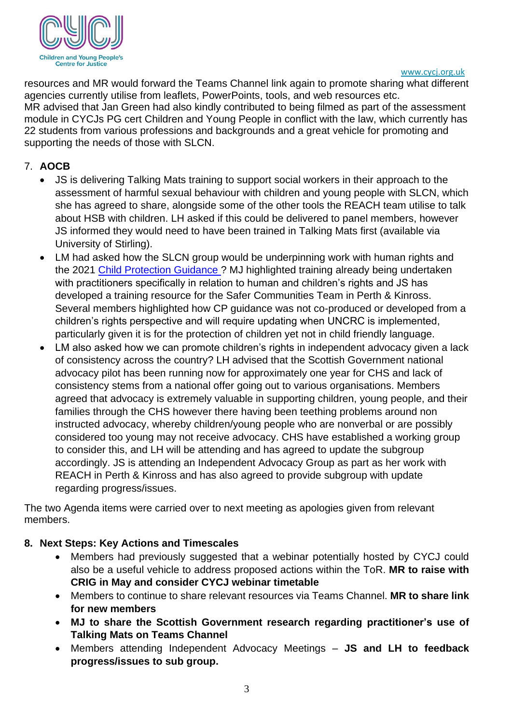

#### [www.cycj.org.uk](http://www.cycj.org.uk/)

resources and MR would forward the Teams Channel link again to promote sharing what different agencies currently utilise from leaflets, PowerPoints, tools, and web resources etc. MR advised that Jan Green had also kindly contributed to being filmed as part of the assessment module in CYCJs PG cert Children and Young People in conflict with the law, which currently has 22 students from various professions and backgrounds and a great vehicle for promoting and supporting the needs of those with SLCN.

## 7. **AOCB**

- JS is delivering Talking Mats training to support social workers in their approach to the assessment of harmful sexual behaviour with children and young people with SLCN, which she has agreed to share, alongside some of the other tools the REACH team utilise to talk about HSB with children. LH asked if this could be delivered to panel members, however JS informed they would need to have been trained in Talking Mats first (available via University of Stirling).
- LM had asked how the SLCN group would be underpinning work with human rights and the 2021 [Child Protection Guidance ?](https://www.gov.scot/publications/national-guidance-child-protection-scotland-2021/) MJ highlighted training already being undertaken with practitioners specifically in relation to human and children's rights and JS has developed a training resource for the Safer Communities Team in Perth & Kinross. Several members highlighted how CP guidance was not co-produced or developed from a children's rights perspective and will require updating when UNCRC is implemented, particularly given it is for the protection of children yet not in child friendly language.
- LM also asked how we can promote children's rights in independent advocacy given a lack of consistency across the country? LH advised that the Scottish Government national advocacy pilot has been running now for approximately one year for CHS and lack of consistency stems from a national offer going out to various organisations. Members agreed that advocacy is extremely valuable in supporting children, young people, and their families through the CHS however there having been teething problems around non instructed advocacy, whereby children/young people who are nonverbal or are possibly considered too young may not receive advocacy. CHS have established a working group to consider this, and LH will be attending and has agreed to update the subgroup accordingly. JS is attending an Independent Advocacy Group as part as her work with REACH in Perth & Kinross and has also agreed to provide subgroup with update regarding progress/issues.

The two Agenda items were carried over to next meeting as apologies given from relevant members.

## **8. Next Steps: Key Actions and Timescales**

- Members had previously suggested that a webinar potentially hosted by CYCJ could also be a useful vehicle to address proposed actions within the ToR. **MR to raise with CRIG in May and consider CYCJ webinar timetable**
- Members to continue to share relevant resources via Teams Channel. **MR to share link for new members**
- **MJ to share the Scottish Government research regarding practitioner's use of Talking Mats on Teams Channel**
- Members attending Independent Advocacy Meetings **JS and LH to feedback progress/issues to sub group.**